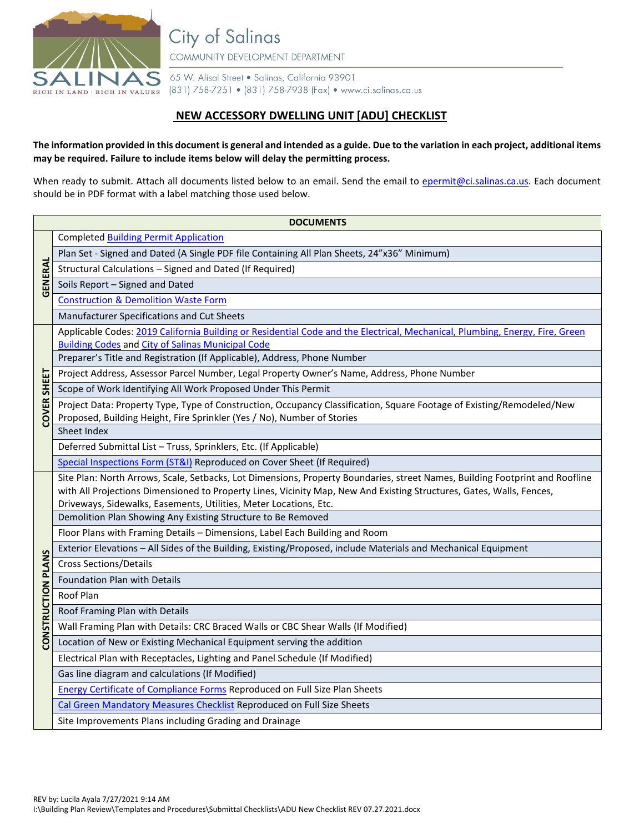

**City of Salinas** COMMUNITY DEVELOPMENT DEPARTMENT

65 W. Alisal Street . Salinas, California 93901 (831) 758-7251 • (831) 758-7938 (Fax) • www.ci.salinas.ca.us

## **NEW ACCESSORY DWELLING UNIT [ADU] CHECKLIST**

## **The information provided in this document is general and intended as a guide. Due to the variation in each project, additional items may be required. Failure to include items below will delay the permitting process.**

When ready to submit. Attach all documents listed below to an email. Send the email to [epermit@ci.salinas.ca.us.](mailto:epermit@ci.salinas.ca.us) Each document should be in PDF format with a label matching those used below.

| <b>DOCUMENTS</b>   |                                                                                                                                                                                           |  |  |  |  |  |
|--------------------|-------------------------------------------------------------------------------------------------------------------------------------------------------------------------------------------|--|--|--|--|--|
|                    | <b>Completed Building Permit Application</b>                                                                                                                                              |  |  |  |  |  |
|                    | Plan Set - Signed and Dated (A Single PDF file Containing All Plan Sheets, 24"x36" Minimum)                                                                                               |  |  |  |  |  |
|                    | Structural Calculations - Signed and Dated (If Required)                                                                                                                                  |  |  |  |  |  |
| GENERAL            | Soils Report - Signed and Dated                                                                                                                                                           |  |  |  |  |  |
|                    | <b>Construction &amp; Demolition Waste Form</b>                                                                                                                                           |  |  |  |  |  |
|                    | Manufacturer Specifications and Cut Sheets                                                                                                                                                |  |  |  |  |  |
|                    | Applicable Codes: 2019 California Building or Residential Code and the Electrical, Mechanical, Plumbing, Energy, Fire, Green                                                              |  |  |  |  |  |
|                    | <b>Building Codes and City of Salinas Municipal Code</b>                                                                                                                                  |  |  |  |  |  |
|                    | Preparer's Title and Registration (If Applicable), Address, Phone Number                                                                                                                  |  |  |  |  |  |
|                    | Project Address, Assessor Parcel Number, Legal Property Owner's Name, Address, Phone Number                                                                                               |  |  |  |  |  |
|                    | Scope of Work Identifying All Work Proposed Under This Permit                                                                                                                             |  |  |  |  |  |
| <b>COVER SHEET</b> | Project Data: Property Type, Type of Construction, Occupancy Classification, Square Footage of Existing/Remodeled/New                                                                     |  |  |  |  |  |
|                    | Proposed, Building Height, Fire Sprinkler (Yes / No), Number of Stories                                                                                                                   |  |  |  |  |  |
|                    | Sheet Index                                                                                                                                                                               |  |  |  |  |  |
|                    | Deferred Submittal List - Truss, Sprinklers, Etc. (If Applicable)                                                                                                                         |  |  |  |  |  |
|                    | Special Inspections Form (ST&I) Reproduced on Cover Sheet (If Required)                                                                                                                   |  |  |  |  |  |
|                    | Site Plan: North Arrows, Scale, Setbacks, Lot Dimensions, Property Boundaries, street Names, Building Footprint and Roofline                                                              |  |  |  |  |  |
|                    | with All Projections Dimensioned to Property Lines, Vicinity Map, New And Existing Structures, Gates, Walls, Fences,<br>Driveways, Sidewalks, Easements, Utilities, Meter Locations, Etc. |  |  |  |  |  |
|                    | Demolition Plan Showing Any Existing Structure to Be Removed                                                                                                                              |  |  |  |  |  |
|                    | Floor Plans with Framing Details - Dimensions, Label Each Building and Room                                                                                                               |  |  |  |  |  |
|                    | Exterior Elevations - All Sides of the Building, Existing/Proposed, include Materials and Mechanical Equipment                                                                            |  |  |  |  |  |
|                    | <b>Cross Sections/Details</b>                                                                                                                                                             |  |  |  |  |  |
| CONSTRUCTION PLANS | Foundation Plan with Details                                                                                                                                                              |  |  |  |  |  |
|                    | Roof Plan                                                                                                                                                                                 |  |  |  |  |  |
|                    | Roof Framing Plan with Details                                                                                                                                                            |  |  |  |  |  |
|                    | Wall Framing Plan with Details: CRC Braced Walls or CBC Shear Walls (If Modified)                                                                                                         |  |  |  |  |  |
|                    | Location of New or Existing Mechanical Equipment serving the addition                                                                                                                     |  |  |  |  |  |
|                    | Electrical Plan with Receptacles, Lighting and Panel Schedule (If Modified)                                                                                                               |  |  |  |  |  |
|                    | Gas line diagram and calculations (If Modified)                                                                                                                                           |  |  |  |  |  |
|                    | <b>Energy Certificate of Compliance Forms Reproduced on Full Size Plan Sheets</b>                                                                                                         |  |  |  |  |  |
|                    | Cal Green Mandatory Measures Checklist Reproduced on Full Size Sheets                                                                                                                     |  |  |  |  |  |
|                    | Site Improvements Plans including Grading and Drainage                                                                                                                                    |  |  |  |  |  |
|                    |                                                                                                                                                                                           |  |  |  |  |  |